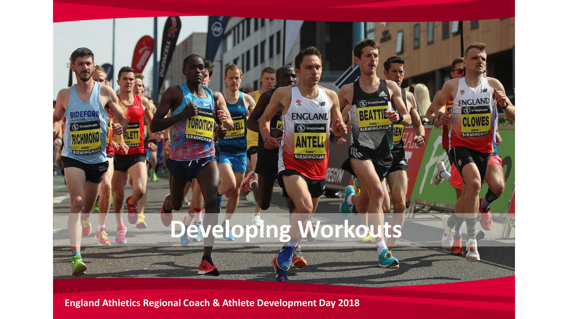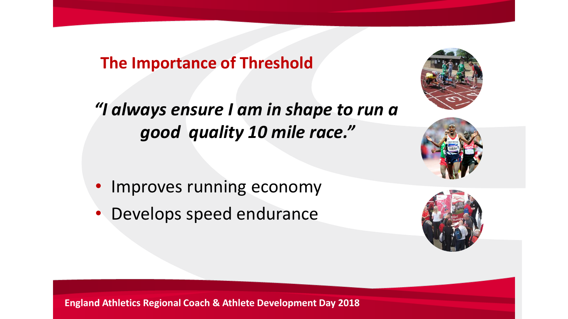# **The Importance of Threshold**

*"I always ensure I am in shape to run a good quality 10 mile race."*

- Improves running economy
- Develops speed endurance





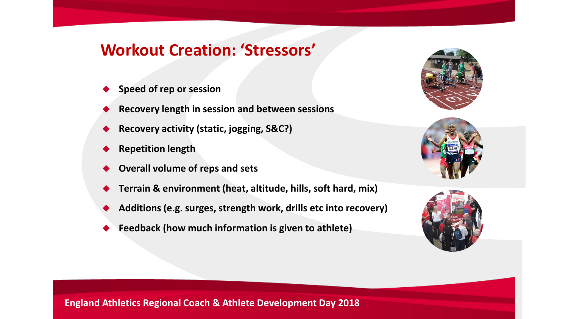### **Workout Creation: 'Stressors'**

- **Speed of rep or session**
- **Recovery length in session and between sessions**
- **Recovery activity (static, jogging, S&C?)**
- **Repetition length**
- **Overall volume of reps and sets**
- **Terrain & environment (heat, altitude, hills, soft hard, mix)**
- **Additions (e.g. surges, strength work, drills etc into recovery)**
- **Feedback (how much information is given to athlete)**





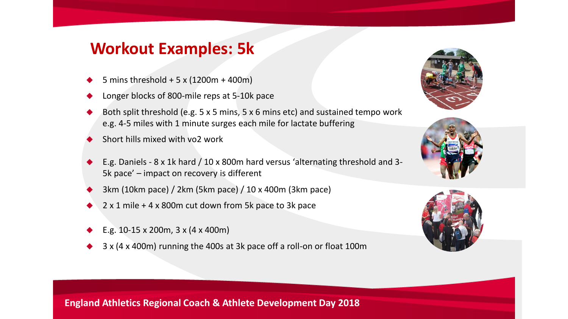## **Workout Examples: 5k**

- 5 mins threshold + 5 x (1200m + 400m)
- Longer blocks of 800-mile reps at 5-10k pace
- Both split threshold (e.g. 5 x 5 mins, 5 x 6 mins etc) and sustained tempo work e.g. 4-5 miles with 1 minute surges each mile for lactate buffering
- Short hills mixed with vo2 work
- E.g. Daniels 8 x 1k hard / 10 x 800m hard versus 'alternating threshold and 3- 5k pace' – impact on recovery is different
- 3km (10km pace) / 2km (5km pace) / 10 x 400m (3km pace)
- $2 \times 1$  mile + 4 x 800m cut down from 5k pace to 3k pace
- E.g. 10-15 x 200m, 3 x (4 x 400m)
- 3 x (4 x 400m) running the 400s at 3k pace off a roll-on or float 100m





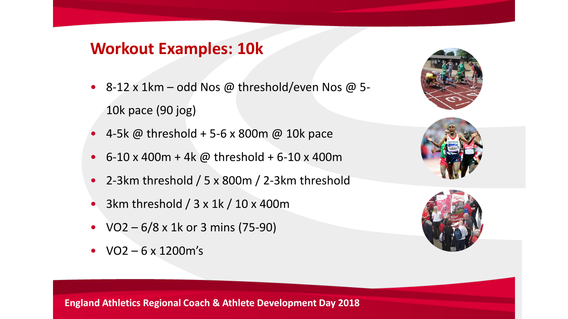## **Workout Examples: 10k**

- 8-12 x 1km odd Nos @ threshold/even Nos @ 5- 10k pace (90 jog)
- 4-5k @ threshold + 5-6 x 800m @ 10k pace
- 6-10 x 400m + 4k @ threshold + 6-10 x 400m
- 2-3km threshold / 5 x 800m / 2-3km threshold
- 3km threshold / 3 x 1k / 10 x 400m
- $VO2 6/8 \times 1k$  or 3 mins (75-90)
- $VO2 6 \times 1200$  m's





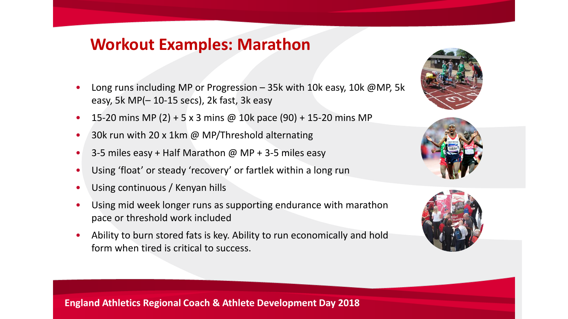## **Workout Examples: Marathon**

- Long runs including MP or Progression 35k with 10k easy, 10k @MP, 5k easy, 5k MP(– 10-15 secs), 2k fast, 3k easy
- 15-20 mins MP (2) + 5 x 3 mins @ 10k pace (90) + 15-20 mins MP
- 30k run with 20 x 1km @ MP/Threshold alternating
- 3-5 miles easy + Half Marathon  $\omega$  MP + 3-5 miles easy
- Using 'float' or steady 'recovery' or fartlek within a long run
- Using continuous / Kenyan hills
- Using mid week longer runs as supporting endurance with marathon pace or threshold work included
- Ability to burn stored fats is key. Ability to run economically and hold form when tired is critical to success.





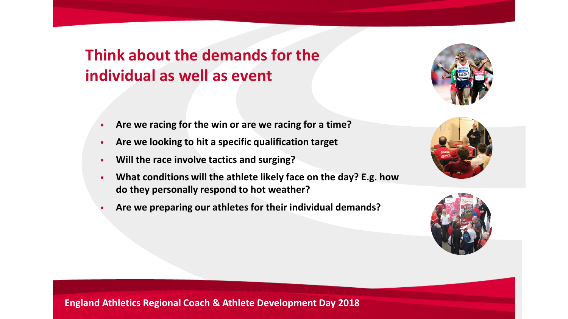# **Think about the demands for the individual as well as event**



- **Are we racing for the win or are we racing for a time?**
- **Are we looking to hit a specific qualification target**
- **Will the race involve tactics and surging?**
- **What conditions will the athlete likely face on the day? E.g. how do they personally respond to hot weather?**
- **Are we preparing our athletes for their individual demands?**



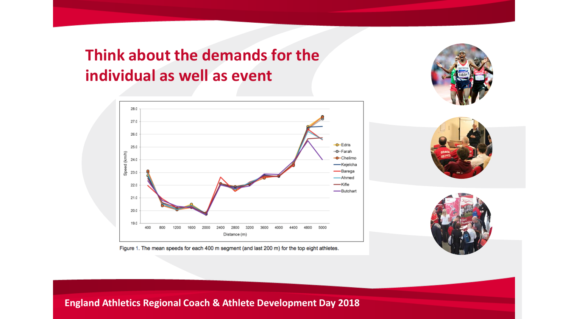# **Think about the demands for the individual as well as event**









Figure 1. The mean speeds for each 400 m segment (and last 200 m) for the top eight athletes.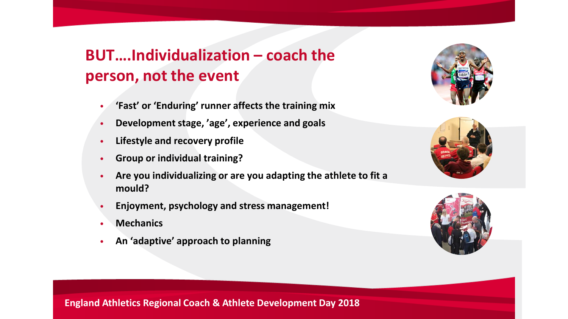# **BUT….Individualization – coach the person, not the event**

- **'Fast' or 'Enduring' runner affects the training mix**
- **Development stage, 'age', experience and goals**
- **Lifestyle and recovery profile**
- **Group or individual training?**
- **Are you individualizing or are you adapting the athlete to fit a mould?**
- **Enjoyment, psychology and stress management!**
- **Mechanics**
- **An 'adaptive' approach to planning**